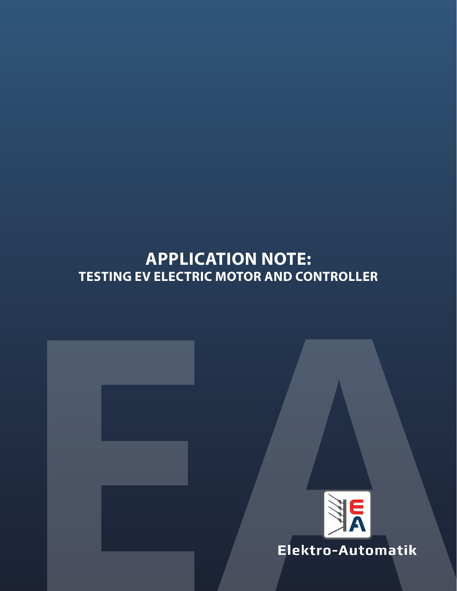# **APPLICATION NOTE: TESTING EV ELECTRIC MOTOR AND CONTROLLER**



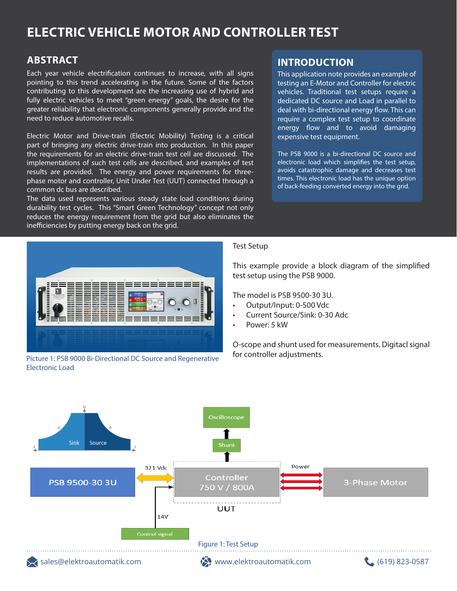## **ELECTRIC VEHICLE MOTOR AND CONTROLLER TEST**

### **ABSTRACT**

Each year vehicle electrification continues to increase, with all signs pointing to this trend accelerating in the future. Some of the factors contributing to this development are the increasing use of hybrid and fully electric vehicles to meet "green energy" goals, the desire for the greater reliability that electronic components generally provide and the need to reduce automotive recalls.

Electric Motor and Drive-train (Electric Mobility) Testing is a critical part of bringing any electric drive-train into production. In this paper the requirements for an electric drive-train test cell are discussed. The implementations of such test cells are described, and examples of test results are provided. The energy and power requirements for threephase motor and controller, Unit Under Test (UUT) connected through a common dc bus are described.

The data used represents various steady state load conditions during durability test cycles. This "Smart Green Technology" concept not only reduces the energy requirement from the grid but also eliminates the inefficiencies by putting energy back on the grid.



Picture 1: PSB 9000 Bi-Directional DC Source and Regenerative Electronic Load

### **INTRODUCTION**

This application note provides an example of testing an E-Motor and Controller for electric vehicles. Traditional test setups require a dedicated DC source and Load in parallel to deal with bi-directional energy flow. This can require a complex test setup to coordinate energy flow and to avoid damaging expensive test equipment.

The PSB 9000 is a bi-directional DC source and electronic load which simplifies the test setup, avoids catastrophic damage and decreases test times. This electronic load has the unique option of back-feeding converted energy into the grid.

#### Test Setup

This example provide a block diagram of the simplified test setup using the PSB 9000.

The model is PSB 9500-30 3U.

- Output/Input: 0-500 Vdc
- Current Source/Sink: 0-30 Adc
- Power: 5 kW

O-scope and shunt used for measurements. Digitacl signal for controller adjustments.

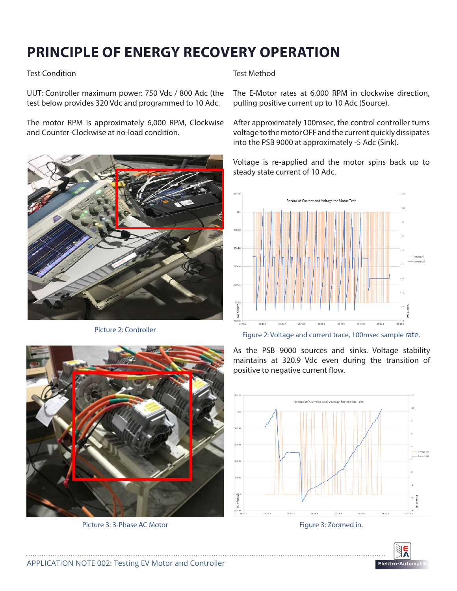## **PRINCIPLE OF ENERGY RECOVERY OPERATION**

#### Test Condition

UUT: Controller maximum power: 750 Vdc / 800 Adc (the test below provides 320 Vdc and programmed to 10 Adc.

The motor RPM is approximately 6,000 RPM, Clockwise and Counter-Clockwise at no-load condition.



Test Method

The E-Motor rates at 6,000 RPM in clockwise direction, pulling positive current up to 10 Adc (Source).

After approximately 100msec, the control controller turns voltage to the motor OFF and the current quickly dissipates into the PSB 9000 at approximately -5 Adc (Sink).

Voltage is re-applied and the motor spins back up to steady state current of 10 Adc.



Picture 2: Controller Figure 2: Voltage and current trace, 100msec sample rate.



Picture 3: 3-Phase AC Motor Figure 3: Zoomed in.

As the PSB 9000 sources and sinks. Voltage stability maintains at 320.9 Vdc even during the transition of positive to negative current flow.



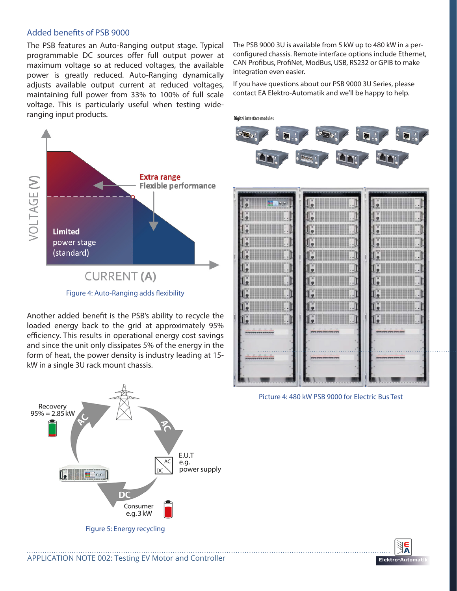#### Added benefits of PSB 9000

The PSB features an Auto-Ranging output stage. Typical programmable DC sources offer full output power at maximum voltage so at reduced voltages, the available power is greatly reduced. Auto-Ranging dynamically adjusts available output current at reduced voltages, maintaining full power from 33% to 100% of full scale voltage. This is particularly useful when testing wideranging input products.

**Extra range** VOLTAGE (V) **Flexible performance Limited** power stage (standard) **CURRENT (A)** Figure 4: Auto-Ranging adds flexibility

Another added benefit is the PSB's ability to recycle the loaded energy back to the grid at approximately 95% efficiency. This results in operational energy cost savings and since the unit only dissipates 5% of the energy in the form of heat, the power density is industry leading at 15 kW in a single 3U rack mount chassis.



The PSB 9000 3U is available from 5 kW up to 480 kW in a perconfigured chassis. Remote interface options include Ethernet, CAN Profibus, ProfiNet, ModBus, USB, RS232 or GPIB to make integration even easier.

If you have questions about our PSB 9000 3U Series, please contact EA Elektro-Automatik and we'll be happy to help.